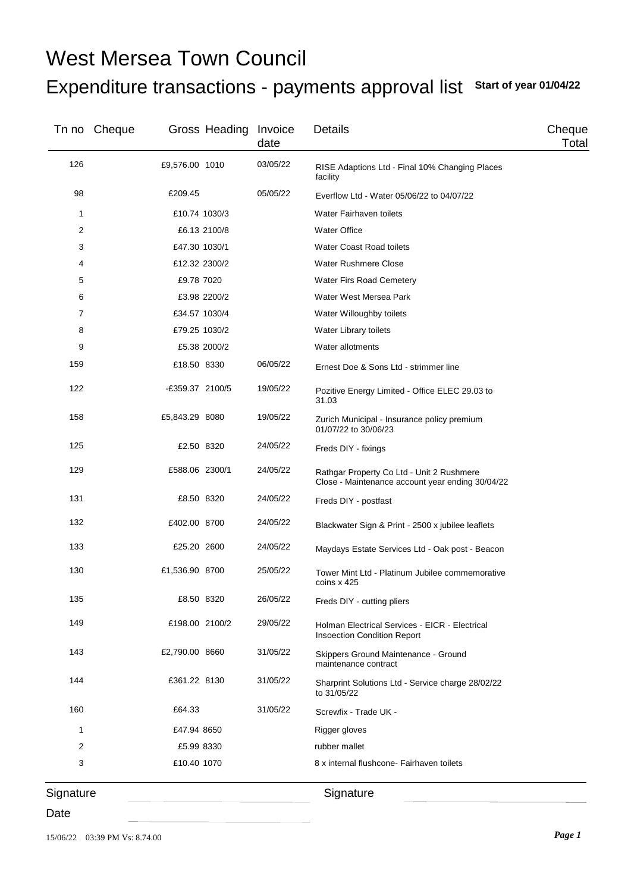## Expenditure transactions - payments approval list **Start of year 01/04/22** West Mersea Town Council

|     | Tn no Cheque |                 | Gross Heading Invoice | date     | Details                                                                                       | Cheque<br>Total |
|-----|--------------|-----------------|-----------------------|----------|-----------------------------------------------------------------------------------------------|-----------------|
| 126 |              | £9,576.00 1010  |                       | 03/05/22 | RISE Adaptions Ltd - Final 10% Changing Places<br>facility                                    |                 |
| 98  |              | £209.45         |                       | 05/05/22 | Everflow Ltd - Water 05/06/22 to 04/07/22                                                     |                 |
| 1   |              | £10.74 1030/3   |                       |          | Water Fairhaven toilets                                                                       |                 |
| 2   |              |                 | £6.13 2100/8          |          | <b>Water Office</b>                                                                           |                 |
| 3   |              | £47.30 1030/1   |                       |          | <b>Water Coast Road toilets</b>                                                               |                 |
| 4   |              | £12.32 2300/2   |                       |          | <b>Water Rushmere Close</b>                                                                   |                 |
| 5   |              | £9.78 7020      |                       |          | Water Firs Road Cemetery                                                                      |                 |
| 6   |              |                 | £3.98 2200/2          |          | Water West Mersea Park                                                                        |                 |
| 7   |              | £34.57 1030/4   |                       |          | Water Willoughby toilets                                                                      |                 |
| 8   |              | £79.25 1030/2   |                       |          | Water Library toilets                                                                         |                 |
| 9   |              |                 | £5.38 2000/2          |          | Water allotments                                                                              |                 |
| 159 |              | £18.50 8330     |                       | 06/05/22 | Ernest Doe & Sons Ltd - strimmer line                                                         |                 |
| 122 |              | -£359.37 2100/5 |                       | 19/05/22 | Pozitive Energy Limited - Office ELEC 29.03 to<br>31.03                                       |                 |
| 158 |              | £5,843.29 8080  |                       | 19/05/22 | Zurich Municipal - Insurance policy premium<br>01/07/22 to 30/06/23                           |                 |
| 125 |              | £2.50 8320      |                       | 24/05/22 | Freds DIY - fixings                                                                           |                 |
| 129 |              | £588.06 2300/1  |                       | 24/05/22 | Rathgar Property Co Ltd - Unit 2 Rushmere<br>Close - Maintenance account year ending 30/04/22 |                 |
| 131 |              | £8.50 8320      |                       | 24/05/22 | Freds DIY - postfast                                                                          |                 |
| 132 |              | £402.00 8700    |                       | 24/05/22 | Blackwater Sign & Print - 2500 x jubilee leaflets                                             |                 |
| 133 |              | £25.20 2600     |                       | 24/05/22 | Maydays Estate Services Ltd - Oak post - Beacon                                               |                 |
| 130 |              | £1,536.90 8700  |                       | 25/05/22 | Tower Mint Ltd - Platinum Jubilee commemorative<br>coins x 425                                |                 |
| 135 |              | £8.50 8320      |                       | 26/05/22 | Freds DIY - cutting pliers                                                                    |                 |
| 149 |              | £198.00 2100/2  |                       | 29/05/22 | Holman Electrical Services - EICR - Electrical<br><b>Insoection Condition Report</b>          |                 |
| 143 |              | £2,790.00 8660  |                       | 31/05/22 | Skippers Ground Maintenance - Ground<br>maintenance contract                                  |                 |
| 144 |              | £361.22 8130    |                       | 31/05/22 | Sharprint Solutions Ltd - Service charge 28/02/22<br>to 31/05/22                              |                 |
| 160 |              | £64.33          |                       | 31/05/22 | Screwfix - Trade UK -                                                                         |                 |
| 1   |              | £47.94 8650     |                       |          | Rigger gloves                                                                                 |                 |
| 2   |              | £5.99 8330      |                       |          | rubber mallet                                                                                 |                 |
| 3   |              | £10.40 1070     |                       |          | 8 x internal flushcone- Fairhaven toilets                                                     |                 |

**Signature** 

Date

**Signature**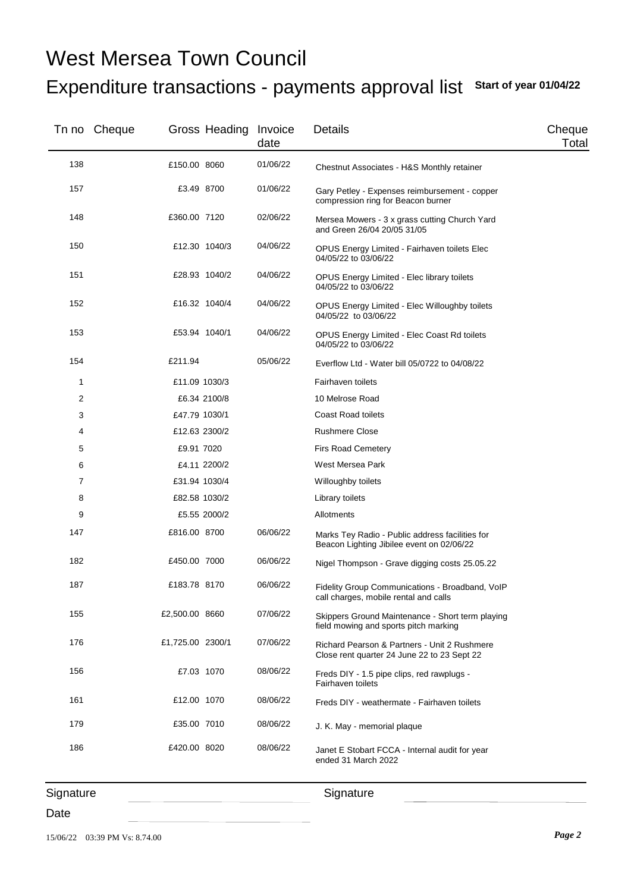## Expenditure transactions - payments approval list **Start of year 01/04/22** West Mersea Town Council

|     | Tn no Cheque |                  | Gross Heading Invoice | date     | <b>Details</b>                                                                               | Cheque<br>Total |
|-----|--------------|------------------|-----------------------|----------|----------------------------------------------------------------------------------------------|-----------------|
| 138 |              | £150.00 8060     |                       | 01/06/22 | Chestnut Associates - H&S Monthly retainer                                                   |                 |
| 157 |              | £3.49 8700       |                       | 01/06/22 | Gary Petley - Expenses reimbursement - copper<br>compression ring for Beacon burner          |                 |
| 148 |              | £360.00 7120     |                       | 02/06/22 | Mersea Mowers - 3 x grass cutting Church Yard<br>and Green 26/04 20/05 31/05                 |                 |
| 150 |              |                  | £12.30 1040/3         | 04/06/22 | OPUS Energy Limited - Fairhaven toilets Elec<br>04/05/22 to 03/06/22                         |                 |
| 151 |              |                  | £28.93 1040/2         | 04/06/22 | OPUS Energy Limited - Elec library toilets<br>04/05/22 to 03/06/22                           |                 |
| 152 |              |                  | £16.32 1040/4         | 04/06/22 | OPUS Energy Limited - Elec Willoughby toilets<br>04/05/22 to 03/06/22                        |                 |
| 153 |              | £53.94 1040/1    |                       | 04/06/22 | OPUS Energy Limited - Elec Coast Rd toilets<br>04/05/22 to 03/06/22                          |                 |
| 154 |              | £211.94          |                       | 05/06/22 | Everflow Ltd - Water bill 05/0722 to 04/08/22                                                |                 |
| 1   |              | £11.09 1030/3    |                       |          | Fairhaven toilets                                                                            |                 |
| 2   |              |                  | £6.34 2100/8          |          | 10 Melrose Road                                                                              |                 |
| 3   |              | £47.79 1030/1    |                       |          | <b>Coast Road toilets</b>                                                                    |                 |
| 4   |              | £12.63 2300/2    |                       |          | <b>Rushmere Close</b>                                                                        |                 |
| 5   |              | £9.91 7020       |                       |          | <b>Firs Road Cemetery</b>                                                                    |                 |
| 6   |              |                  | £4.11 2200/2          |          | West Mersea Park                                                                             |                 |
| 7   |              | £31.94 1030/4    |                       |          | Willoughby toilets                                                                           |                 |
| 8   |              | £82.58 1030/2    |                       |          | Library toilets                                                                              |                 |
| 9   |              |                  | £5.55 2000/2          |          | Allotments                                                                                   |                 |
| 147 |              | £816.00 8700     |                       | 06/06/22 | Marks Tey Radio - Public address facilities for<br>Beacon Lighting Jibilee event on 02/06/22 |                 |
| 182 |              | £450.00 7000     |                       | 06/06/22 | Nigel Thompson - Grave digging costs 25.05.22                                                |                 |
| 187 |              | £183.78 8170     |                       | 06/06/22 | Fidelity Group Communications - Broadband, VoIP<br>call charges, mobile rental and calls     |                 |
| 155 |              | £2,500.00 8660   |                       | 07/06/22 | Skippers Ground Maintenance - Short term playing<br>field mowing and sports pitch marking    |                 |
| 176 |              | £1,725.00 2300/1 |                       | 07/06/22 | Richard Pearson & Partners - Unit 2 Rushmere<br>Close rent quarter 24 June 22 to 23 Sept 22  |                 |
| 156 |              | £7.03 1070       |                       | 08/06/22 | Freds DIY - 1.5 pipe clips, red rawplugs -<br>Fairhaven toilets                              |                 |
| 161 |              | £12.00 1070      |                       | 08/06/22 | Freds DIY - weathermate - Fairhaven toilets                                                  |                 |
| 179 |              | £35.00 7010      |                       | 08/06/22 | J. K. May - memorial plaque                                                                  |                 |
| 186 |              | £420.00 8020     |                       | 08/06/22 | Janet E Stobart FCCA - Internal audit for year<br>ended 31 March 2022                        |                 |

**Signature**